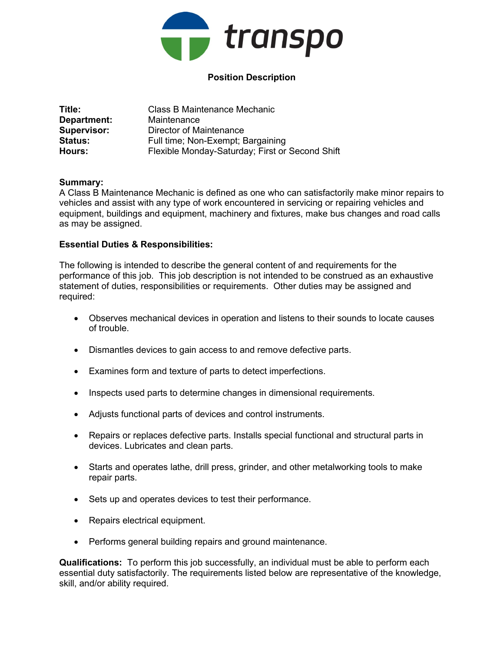

# Position Description

| Title:             | Class B Maintenance Mechanic                    |
|--------------------|-------------------------------------------------|
| Department:        | Maintenance                                     |
| <b>Supervisor:</b> | Director of Maintenance                         |
| <b>Status:</b>     | Full time; Non-Exempt; Bargaining               |
| Hours:             | Flexible Monday-Saturday; First or Second Shift |

### Summary:

A Class B Maintenance Mechanic is defined as one who can satisfactorily make minor repairs to vehicles and assist with any type of work encountered in servicing or repairing vehicles and equipment, buildings and equipment, machinery and fixtures, make bus changes and road calls as may be assigned.

### Essential Duties & Responsibilities:

The following is intended to describe the general content of and requirements for the performance of this job. This job description is not intended to be construed as an exhaustive statement of duties, responsibilities or requirements. Other duties may be assigned and required:

- Observes mechanical devices in operation and listens to their sounds to locate causes of trouble.
- Dismantles devices to gain access to and remove defective parts.
- Examines form and texture of parts to detect imperfections.
- Inspects used parts to determine changes in dimensional requirements.
- Adjusts functional parts of devices and control instruments.
- Repairs or replaces defective parts. Installs special functional and structural parts in devices. Lubricates and clean parts.
- Starts and operates lathe, drill press, grinder, and other metalworking tools to make repair parts.
- Sets up and operates devices to test their performance.
- Repairs electrical equipment.
- Performs general building repairs and ground maintenance.

Qualifications: To perform this job successfully, an individual must be able to perform each essential duty satisfactorily. The requirements listed below are representative of the knowledge, skill, and/or ability required.